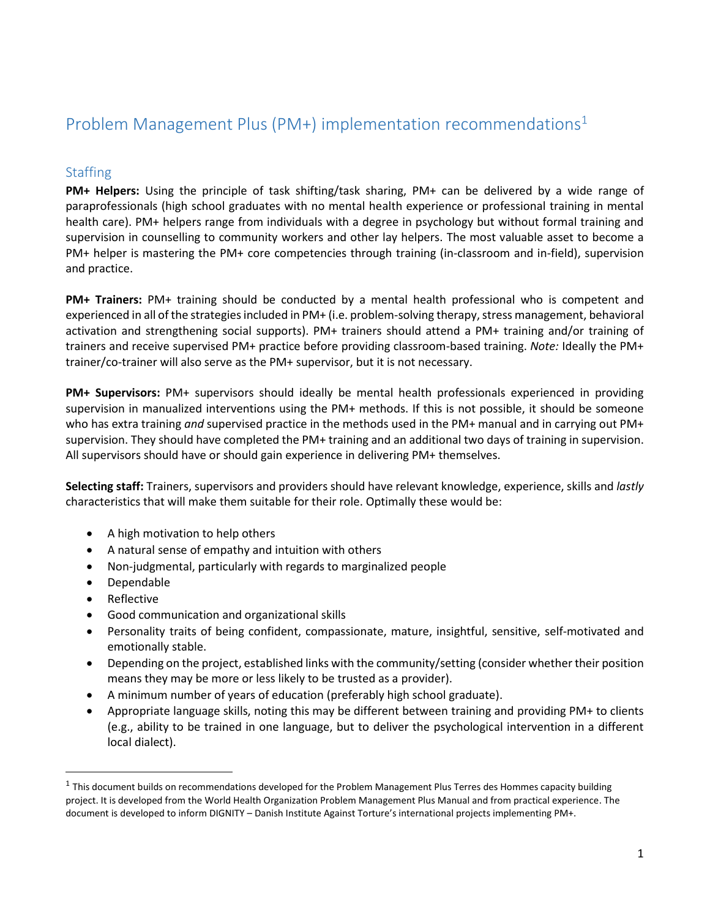# Problem Management Plus (PM+) implementation recommendations<sup>1</sup>

# **Staffing**

**PM+ Helpers:** Using the principle of task shifting/task sharing, PM+ can be delivered by a wide range of paraprofessionals (high school graduates with no mental health experience or professional training in mental health care). PM+ helpers range from individuals with a degree in psychology but without formal training and supervision in counselling to community workers and other lay helpers. The most valuable asset to become a PM+ helper is mastering the PM+ core competencies through training (in-classroom and in-field), supervision and practice.

**PM+ Trainers:** PM+ training should be conducted by a mental health professional who is competent and experienced in all of the strategies included in PM+ (i.e. problem-solving therapy, stress management, behavioral activation and strengthening social supports). PM+ trainers should attend a PM+ training and/or training of trainers and receive supervised PM+ practice before providing classroom-based training. *Note:* Ideally the PM+ trainer/co-trainer will also serve as the PM+ supervisor, but it is not necessary.

**PM+ Supervisors:** PM+ supervisors should ideally be mental health professionals experienced in providing supervision in manualized interventions using the PM+ methods. If this is not possible, it should be someone who has extra training *and* supervised practice in the methods used in the PM+ manual and in carrying out PM+ supervision. They should have completed the PM+ training and an additional two days of training in supervision. All supervisors should have or should gain experience in delivering PM+ themselves.

**Selecting staff:** Trainers, supervisors and providers should have relevant knowledge, experience, skills and *lastly* characteristics that will make them suitable for their role. Optimally these would be:

- A high motivation to help others
- A natural sense of empathy and intuition with others
- Non-judgmental, particularly with regards to marginalized people
- Dependable
- Reflective

 $\overline{a}$ 

- Good communication and organizational skills
- Personality traits of being confident, compassionate, mature, insightful, sensitive, self-motivated and emotionally stable.
- Depending on the project, established links with the community/setting (consider whether their position means they may be more or less likely to be trusted as a provider).
- A minimum number of years of education (preferably high school graduate).
- Appropriate language skills, noting this may be different between training and providing PM+ to clients (e.g., ability to be trained in one language, but to deliver the psychological intervention in a different local dialect).

 $^1$  This document builds on recommendations developed for the Problem Management Plus Terres des Hommes capacity building project. It is developed from the World Health Organization Problem Management Plus Manual and from practical experience. The document is developed to inform DIGNITY – Danish Institute Against Torture's international projects implementing PM+.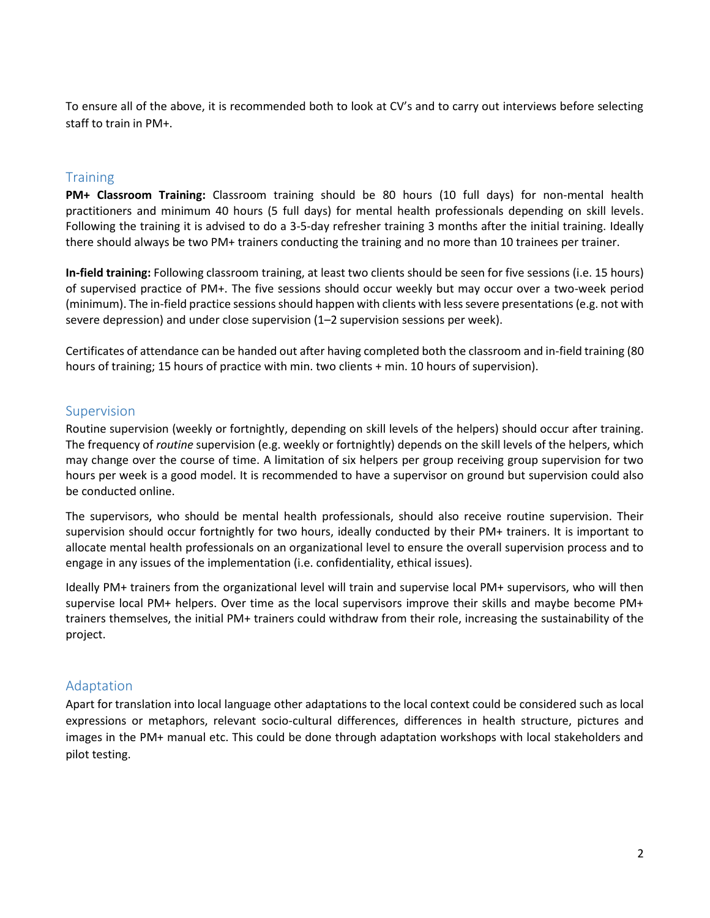To ensure all of the above, it is recommended both to look at CV's and to carry out interviews before selecting staff to train in PM+.

#### **Training**

**PM+ Classroom Training:** Classroom training should be 80 hours (10 full days) for non-mental health practitioners and minimum 40 hours (5 full days) for mental health professionals depending on skill levels. Following the training it is advised to do a 3-5-day refresher training 3 months after the initial training. Ideally there should always be two PM+ trainers conducting the training and no more than 10 trainees per trainer.

**In-field training:** Following classroom training, at least two clients should be seen for five sessions (i.e. 15 hours) of supervised practice of PM+. The five sessions should occur weekly but may occur over a two-week period (minimum). The in-field practice sessions should happen with clients with less severe presentations (e.g. not with severe depression) and under close supervision (1–2 supervision sessions per week).

Certificates of attendance can be handed out after having completed both the classroom and in-field training (80 hours of training; 15 hours of practice with min. two clients + min. 10 hours of supervision).

#### Supervision

Routine supervision (weekly or fortnightly, depending on skill levels of the helpers) should occur after training. The frequency of *routine* supervision (e.g. weekly or fortnightly) depends on the skill levels of the helpers, which may change over the course of time. A limitation of six helpers per group receiving group supervision for two hours per week is a good model. It is recommended to have a supervisor on ground but supervision could also be conducted online.

The supervisors, who should be mental health professionals, should also receive routine supervision. Their supervision should occur fortnightly for two hours, ideally conducted by their PM+ trainers. It is important to allocate mental health professionals on an organizational level to ensure the overall supervision process and to engage in any issues of the implementation (i.e. confidentiality, ethical issues).

Ideally PM+ trainers from the organizational level will train and supervise local PM+ supervisors, who will then supervise local PM+ helpers. Over time as the local supervisors improve their skills and maybe become PM+ trainers themselves, the initial PM+ trainers could withdraw from their role, increasing the sustainability of the project.

## Adaptation

Apart for translation into local language other adaptations to the local context could be considered such as local expressions or metaphors, relevant socio-cultural differences, differences in health structure, pictures and images in the PM+ manual etc. This could be done through adaptation workshops with local stakeholders and pilot testing.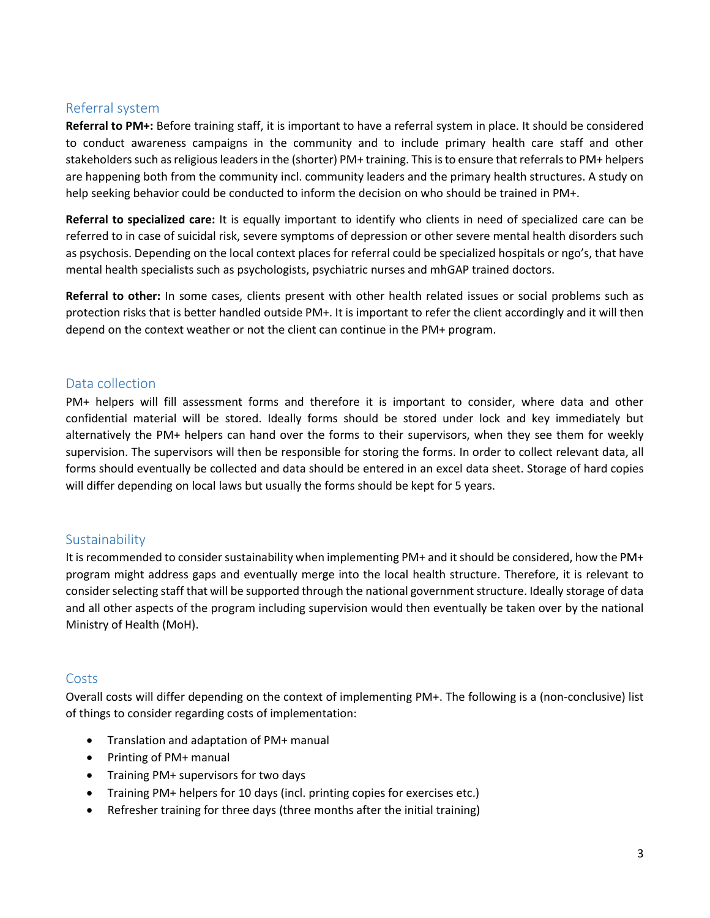## Referral system

**Referral to PM+:** Before training staff, it is important to have a referral system in place. It should be considered to conduct awareness campaigns in the community and to include primary health care staff and other stakeholders such as religious leaders in the (shorter) PM+ training. This is to ensure that referrals to PM+ helpers are happening both from the community incl. community leaders and the primary health structures. A study on help seeking behavior could be conducted to inform the decision on who should be trained in PM+.

**Referral to specialized care:** It is equally important to identify who clients in need of specialized care can be referred to in case of suicidal risk, severe symptoms of depression or other severe mental health disorders such as psychosis. Depending on the local context places for referral could be specialized hospitals or ngo's, that have mental health specialists such as psychologists, psychiatric nurses and mhGAP trained doctors.

**Referral to other:** In some cases, clients present with other health related issues or social problems such as protection risks that is better handled outside PM+. It is important to refer the client accordingly and it will then depend on the context weather or not the client can continue in the PM+ program.

## Data collection

PM+ helpers will fill assessment forms and therefore it is important to consider, where data and other confidential material will be stored. Ideally forms should be stored under lock and key immediately but alternatively the PM+ helpers can hand over the forms to their supervisors, when they see them for weekly supervision. The supervisors will then be responsible for storing the forms. In order to collect relevant data, all forms should eventually be collected and data should be entered in an excel data sheet. Storage of hard copies will differ depending on local laws but usually the forms should be kept for 5 years.

## **Sustainability**

It is recommended to consider sustainability when implementing PM+ and it should be considered, how the PM+ program might address gaps and eventually merge into the local health structure. Therefore, it is relevant to consider selecting staff that will be supported through the national government structure. Ideally storage of data and all other aspects of the program including supervision would then eventually be taken over by the national Ministry of Health (MoH).

## Costs

Overall costs will differ depending on the context of implementing PM+. The following is a (non-conclusive) list of things to consider regarding costs of implementation:

- Translation and adaptation of PM+ manual
- Printing of PM+ manual
- Training PM+ supervisors for two days
- Training PM+ helpers for 10 days (incl. printing copies for exercises etc.)
- Refresher training for three days (three months after the initial training)